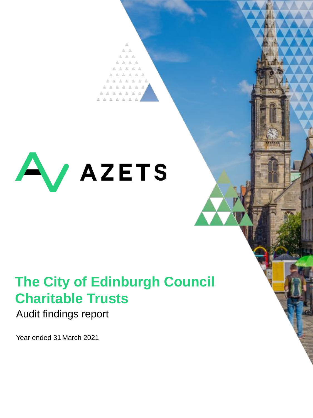

# **The City of Edinburgh Council Charitable Trusts**

### Audit findings report

Year ended 31 March 2021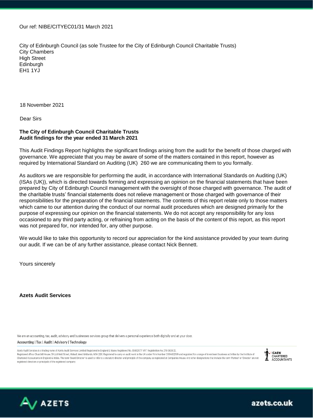Our ref: NIBE/CITYEC01/31 March 2021

City of Edinburgh Council (as sole Trustee for the City of Edinburgh Council Charitable Trusts) City Chambers High Street Edinburgh EH1 1YJ

18 November 2021

Dear Sirs

#### **The City of Edinburgh Council Charitable Trusts Audit findings for the year ended 31 March 2021**

This Audit Findings Report highlights the significant findings arising from the audit for the benefit of those charged with governance. We appreciate that you may be aware of some of the matters contained in this report, however as required by International Standard on Auditing (UK) 260 we are communicating them to you formally.

As auditors we are responsible for performing the audit, in accordance with International Standards on Auditing (UK) (ISAs (UK)), which is directed towards forming and expressing an opinion on the financial statements that have been prepared by City of Edinburgh Council management with the oversight of those charged with governance. The audit of the charitable trusts' financial statements does not relieve management or those charged with governance of their responsibilities for the preparation of the financial statements. The contents of this report relate only to those matters which came to our attention during the conduct of our normal audit procedures which are designed primarily for the purpose of expressing our opinion on the financial statements. We do not accept any responsibility for any loss occasioned to any third party acting, or refraining from acting on the basis of the content of this report, as this report was not prepared for, nor intended for, any other purpose.

We would like to take this opportunity to record our appreciation for the kind assistance provided by your team during our audit. If we can be of any further assistance, please contact Nick Bennett.

Yours sincerely

**Azets Audit Services**

We are an accounting, tax, audit, advisory and businesses services group that delivers a personal experience both digitally and at your door.

Accounting | Tax | Audit | Advisory | Technology

Azets Audit Services is a trading name of Azets Audit Services Limited Registered in England & Wales Registered No. 09652677. VAT Registration No. 219 0608 22. Registered office: Churchill House, 59 Lichfield Street, Walsall, West Midlands, WS4 2BX. Registered to carry on audit work in the UK under Firm Number C004632199 and regulated for a range of investment business activities Chartered Accountants in England & Wales. The term 'Board Director' is used to refer to a statutory director and principle of the company as registered at Companies House. Any other designations that include the term 'Part registered directors or principals of the registered company.



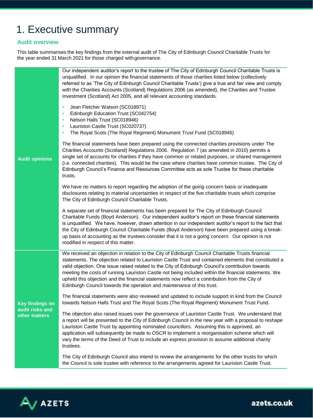### 1. Executive summary

### **Audit overview**

This table summarises the key findings from the external audit of The City of Edinburgh Council Charitable Trusts for the year ended 31 March 2021 for those charged withgovernance.

|                                  | Our independent auditor's report to the trustee of The City of Edinburgh Council Charitable Trusts is<br>unqualified. In our opinion the financial statements of those charities listed below (collectively<br>referred to as 'The City of Edinburgh Council Charitable Trusts') give a true and fair view and comply<br>with the Charities Accounts (Scotland) Regulations 2006 (as amended), the Charities and Trustee<br>Investment (Scotland) Act 2005, and all relevant accounting standards.<br>Jean Fletcher Watson (SC018971)<br>$\bullet$<br>Edinburgh Education Trust (SC042754)<br>Nelson Halls Trust (SC018946)<br>Lauriston Castle Trust (SC020737)<br>The Royal Scots (The Royal Regiment) Monument Trust Fund (SC018945) |
|----------------------------------|-----------------------------------------------------------------------------------------------------------------------------------------------------------------------------------------------------------------------------------------------------------------------------------------------------------------------------------------------------------------------------------------------------------------------------------------------------------------------------------------------------------------------------------------------------------------------------------------------------------------------------------------------------------------------------------------------------------------------------------------|
| <b>Audit opinions</b>            | The financial statements have been prepared using the connected charities provisions under The<br>Charities Accounts (Scotland) Regulations 2006. Regulation 7 (as amended in 2010) permits a<br>single set of accounts for charities if they have common or related purposes, or shared management<br>(i.e. connected charities). This would be the case where charities have common trustee. The City of<br>Edinburgh Council's Finance and Resources Committee acts as sole Trustee for these charitable<br>trusts.                                                                                                                                                                                                                  |
|                                  | We have no matters to report regarding the adoption of the going concern basis or inadequate<br>disclosures relating to material uncertainties in respect of the five charitable trusts which comprise<br>The City of Edinburgh Council Charitable Trusts.                                                                                                                                                                                                                                                                                                                                                                                                                                                                              |
|                                  | A separate set of financial statements has been prepared for The City of Edinburgh Council<br>Charitable Funds (Boyd Anderson). Our independent auditor's report on these financial statements<br>is unqualified. We have, however, drawn attention in our independent auditor's report to the fact that<br>the City of Edinburgh Council Charitable Funds (Boyd Anderson) have been prepared using a break-<br>up basis of accounting as the trustees consider that it is not a going concern. Our opinion is not<br>modified in respect of this matter.                                                                                                                                                                               |
|                                  | We received an objection in relation to the City of Edinburgh Council Charitable Trusts financial<br>statements. The objection related to Lauriston Castle Trust and contained elements that constituted a<br>valid objection. One issue raised related to the City of Edinburgh Council's contribution towards<br>meeting the costs of running Lauriston Castle not being included within the financial statements. We<br>upheld this objection and the financial statements now reflect a contribution from the City of<br>Edinburgh Council towards the operation and maintenance of this trust.                                                                                                                                     |
| <b>Key findings on</b>           | The financial statements were also reviewed and updated to include support in kind from the Council<br>towards Nelson Halls Trust and The Royal Scots (The Royal Regiment) Monument Trust Fund.                                                                                                                                                                                                                                                                                                                                                                                                                                                                                                                                         |
| audit risks and<br>other matters | The objection also raised issues over the governance of Lauriston Castle Trust. We understand that<br>a report will be presented to the City of Edinburgh Council in the new year with a proposal to reshape<br>Lauriston Castle Trust by appointing nominated councillors. Assuming this is approved, an<br>application will subsequently be made to OSCR to implement a reorganisation scheme which will<br>vary the terms of the Deed of Trust to include an express provision to assume additional charity<br>trustees.                                                                                                                                                                                                             |
|                                  | The City of Edinburgh Council also intend to review the arrangements for the other trusts for which<br>the Council is sole trustee with reference to the arrangements agreed for Lauriston Castle Trust.                                                                                                                                                                                                                                                                                                                                                                                                                                                                                                                                |

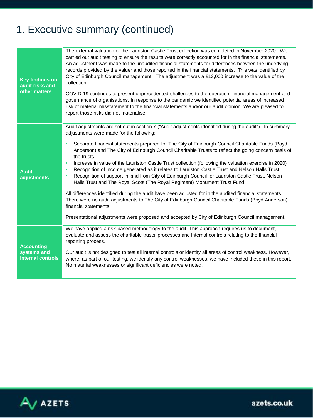## 1. Executive summary (continued)

| <b>Key findings on</b><br>audit risks and<br>other matters | The external valuation of the Lauriston Castle Trust collection was completed in November 2020. We<br>carried out audit testing to ensure the results were correctly accounted for in the financial statements.<br>An adjustment was made to the unaudited financial statements for differences between the underlying<br>records provided by the valuer and those reported in the financial statements. This was identified by<br>City of Edinburgh Council management. The adjustment was a £13,000 increase to the value of the<br>collection.<br>COVID-19 continues to present unprecedented challenges to the operation, financial management and<br>governance of organisations. In response to the pandemic we identified potential areas of increased<br>risk of material misstatement to the financial statements and/or our audit opinion. We are pleased to<br>report those risks did not materialise.                                                                                                                                                                                                                                      |
|------------------------------------------------------------|--------------------------------------------------------------------------------------------------------------------------------------------------------------------------------------------------------------------------------------------------------------------------------------------------------------------------------------------------------------------------------------------------------------------------------------------------------------------------------------------------------------------------------------------------------------------------------------------------------------------------------------------------------------------------------------------------------------------------------------------------------------------------------------------------------------------------------------------------------------------------------------------------------------------------------------------------------------------------------------------------------------------------------------------------------------------------------------------------------------------------------------------------------|
| <b>Audit</b><br>adjustments                                | Audit adjustments are set out in section 7 ("Audit adjustments identified during the audit"). In summary<br>adjustments were made for the following:<br>Separate financial statements prepared for The City of Edinburgh Council Charitable Funds (Boyd<br>$\bullet$<br>Anderson) and The City of Edinburgh Council Charitable Trusts to reflect the going concern basis of<br>the trusts<br>Increase in value of the Lauriston Castle Trust collection (following the valuation exercise in 2020)<br>٠<br>Recognition of income generated as it relates to Lauriston Castle Trust and Nelson Halls Trust<br>٠<br>Recognition of support in kind from City of Edinburgh Council for Lauriston Castle Trust, Nelson<br>$\bullet$<br>Halls Trust and The Royal Scots (The Royal Regiment) Monument Trust Fund<br>All differences identified during the audit have been adjusted for in the audited financial statements.<br>There were no audit adjustments to The City of Edinburgh Council Charitable Funds (Boyd Anderson)<br>financial statements.<br>Presentational adjustments were proposed and accepted by City of Edinburgh Council management. |
| <b>Accounting</b><br>systems and<br>internal controls      | We have applied a risk-based methodology to the audit. This approach requires us to document,<br>evaluate and assess the charitable trusts' processes and internal controls relating to the financial<br>reporting process.<br>Our audit is not designed to test all internal controls or identify all areas of control weakness. However,<br>where, as part of our testing, we identify any control weaknesses, we have included these in this report.<br>No material weaknesses or significant deficiencies were noted.                                                                                                                                                                                                                                                                                                                                                                                                                                                                                                                                                                                                                              |

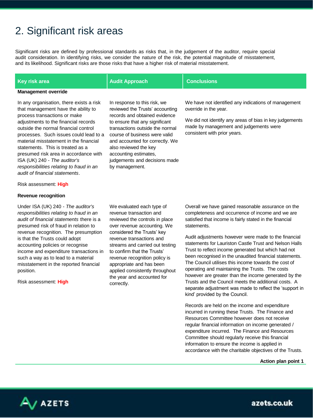### 2. Significant risk areas

Significant risks are defined by professional standards as risks that, in the judgement of the auditor, require special audit consideration. In identifying risks, we consider the nature of the risk, the potential magnitude of misstatement, and its likelihood. Significant risks are those risks that have a higher risk of material misstatement.

| Key risk area                                                                                                                                                                                                                                                                                                                                                                                                                                                                  | <b>Audit Approach</b>                                                                                                                                                                                                                                                                                                                          | <b>Conclusions</b>                                                                                                                                                                                                 |  |  |  |  |
|--------------------------------------------------------------------------------------------------------------------------------------------------------------------------------------------------------------------------------------------------------------------------------------------------------------------------------------------------------------------------------------------------------------------------------------------------------------------------------|------------------------------------------------------------------------------------------------------------------------------------------------------------------------------------------------------------------------------------------------------------------------------------------------------------------------------------------------|--------------------------------------------------------------------------------------------------------------------------------------------------------------------------------------------------------------------|--|--|--|--|
| <b>Management override</b>                                                                                                                                                                                                                                                                                                                                                                                                                                                     |                                                                                                                                                                                                                                                                                                                                                |                                                                                                                                                                                                                    |  |  |  |  |
| In any organisation, there exists a risk<br>that management have the ability to<br>process transactions or make<br>adjustments to the financial records<br>outside the normal financial control<br>processes. Such issues could lead to a<br>material misstatement in the financial<br>statements. This is treated as a<br>presumed risk area in accordance with<br>ISA (UK) 240 - The auditor's<br>responsibilities relating to fraud in an<br>audit of financial statements. | In response to this risk, we<br>reviewed the Trusts' accounting<br>records and obtained evidence<br>to ensure that any significant<br>transactions outside the normal<br>course of business were valid<br>and accounted for correctly. We<br>also reviewed the key<br>accounting estimates,<br>judgements and decisions made<br>by management. | We have not identified any indications of management<br>override in the year.<br>We did not identify any areas of bias in key judgements<br>made by management and judgements were<br>consistent with prior years. |  |  |  |  |
| Risk assessment: High                                                                                                                                                                                                                                                                                                                                                                                                                                                          |                                                                                                                                                                                                                                                                                                                                                |                                                                                                                                                                                                                    |  |  |  |  |

#### **Revenue recognition**

Under ISA (UK) 240 - *The auditor's responsibilities relating to fraud in an audit of financial statements* there is a presumed risk of fraud in relation to revenue recognition. The presumption is that the Trusts could adopt accounting policies or recognise income and expenditure transactions in such a way as to lead to a material misstatement in the reported financial position.

Risk assessment: **High**

We evaluated each type of revenue transaction and reviewed the controls in place over revenue accounting. We considered the Trusts' key revenue transactions and streams and carried out testing to confirm that the Trusts' revenue recognition policy is appropriate and has been applied consistently throughout the year and accounted for correctly.

Overall we have gained reasonable assurance on the completeness and occurrence of income and we are satisfied that income is fairly stated in the financial statements.

Audit adjustments however were made to the financial statements for Lauriston Castle Trust and Nelson Halls Trust to reflect income generated but which had not been recognised in the unaudited financial statements. The Council utilises this income towards the cost of operating and maintaining the Trusts. The costs however are greater than the income generated by the Trusts and the Council meets the additional costs. A separate adjustment was made to reflect the 'support in kind' provided by the Council.

Records are held on the income and expenditure incurred in running these Trusts. The Finance and Resources Committee however does not receive regular financial information on income generated / expenditure incurred. The Finance and Resources Committee should regularly receive this financial information to ensure the income is applied in accordance with the charitable objectives of the Trusts.

**Action plan point 1**

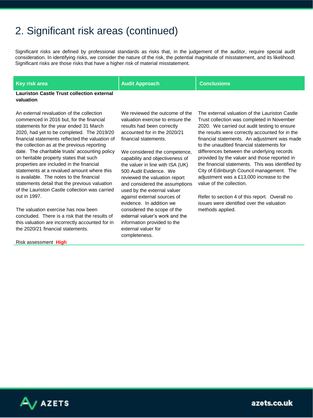### 2. Significant risk areas (continued)

Significant risks are defined by professional standards as risks that, in the judgement of the auditor, require special audit consideration. In identifying risks, we consider the nature of the risk, the potential magnitude of misstatement, and its likelihood. Significant risks are those risks that have a higher risk of material misstatement.

**Key risk area Audit Approach Conclusions**

**Lauriston Castle Trust collection external valuation**

An external revaluation of the collection commenced in 2016 but, for the financial statements for the year ended 31 March 2020, had yet to be completed. The 2019/20 financial statements reflected the valuation of the collection as at the previous reporting date. The charitable trusts' accounting policy on heritable property states that such properties are included in the financial statements at a revalued amount where this is available. The notes to the financial statements detail that the previous valuation of the Lauriston Castle collection was carried out in 1997.

The valuation exercise has now been concluded. There is a risk that the results of this valuation are incorrectly accounted for in the 2020/21 financial statements.

Risk assessment **High**

We reviewed the outcome of the valuation exercise to ensure the results had been correctly accounted for in the 2020/21 financial statements.

We considered the competence, capability and objectiveness of the valuer in line with ISA (UK) 500 Audit Evidence. We reviewed the valuation report and considered the assumptions used by the external valuer against external sources of evidence. In addition we considered the scope of the external valuer's work and the information provided to the external valuer for completeness.

The external valuation of the Lauriston Castle Trust collection was completed in November 2020. We carried out audit testing to ensure the results were correctly accounted for in the financial statements. An adjustment was made to the unaudited financial statements for differences between the underlying records provided by the valuer and those reported in the financial statements. This was identified by City of Edinburgh Council management. The adjustment was a £13,000 increase to the value of the collection.

Refer to section 4 of this report. Overall no issues were identified over the valuation methods applied.

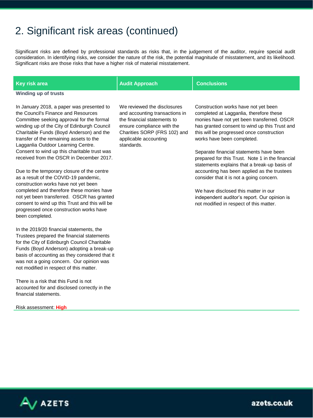### 2. Significant risk areas (continued)

Significant risks are defined by professional standards as risks that, in the judgement of the auditor, require special audit consideration. In identifying risks, we consider the nature of the risk, the potential magnitude of misstatement, and its likelihood. Significant risks are those risks that have a higher risk of material misstatement.

| Key risk area                                                                                                                                                                                                                                                                                             | <b>Audit Approach</b>                                                                                                                                                                             | <b>Conclusions</b>                                                                                                                                                                                                                                        |
|-----------------------------------------------------------------------------------------------------------------------------------------------------------------------------------------------------------------------------------------------------------------------------------------------------------|---------------------------------------------------------------------------------------------------------------------------------------------------------------------------------------------------|-----------------------------------------------------------------------------------------------------------------------------------------------------------------------------------------------------------------------------------------------------------|
| Winding up of trusts                                                                                                                                                                                                                                                                                      |                                                                                                                                                                                                   |                                                                                                                                                                                                                                                           |
| In January 2018, a paper was presented to<br>the Council's Finance and Resources<br>Committee seeking approval for the formal<br>winding up of the City of Edinburgh Council<br>Charitable Funds (Boyd Anderson) and the<br>transfer of the remaining assets to the<br>Lagganlia Outdoor Learning Centre. | We reviewed the disclosures<br>and accounting transactions in<br>the financial statements to<br>ensure compliance with the<br>Charities SORP (FRS 102) and<br>applicable accounting<br>standards. | Construction works have not yet been<br>completed at Lagganlia, therefore these<br>monies have not yet been transferred. OSCR<br>has granted consent to wind up this Trust and<br>this will be progressed once construction<br>works have been completed. |
| Consent to wind up this charitable trust was<br>received from the OSCR in December 2017.                                                                                                                                                                                                                  |                                                                                                                                                                                                   | Separate financial statements have been<br>prepared for this Trust. Note 1 in the financial<br>statements explains that a break-up basis of                                                                                                               |
| Due to the temporary closure of the centre<br>as a result of the COVID-19 pandemic,<br>construction works have not yet been                                                                                                                                                                               |                                                                                                                                                                                                   | accounting has been applied as the trustees<br>consider that it is not a going concern.                                                                                                                                                                   |
| completed and therefore these monies have<br>not yet been transferred. OSCR has granted<br>consent to wind up this Trust and this will be<br>progressed once construction works have<br>been completed.                                                                                                   |                                                                                                                                                                                                   | We have disclosed this matter in our<br>independent auditor's report. Our opinion is<br>not modified in respect of this matter.                                                                                                                           |
| In the 2019/20 financial statements, the<br>Trustees prepared the financial statements<br>for the City of Edinburgh Council Charitable<br>Funds (Boyd Anderson) adopting a break-up<br>basis of accounting as they considered that it<br>was not a going concern. Our opinion was                         |                                                                                                                                                                                                   |                                                                                                                                                                                                                                                           |

There is a risk that this Fund is not accounted for and disclosed correctly in the financial statements.

not modified in respect of this matter.

Risk assessment: **High**

 $\overline{A}$  azets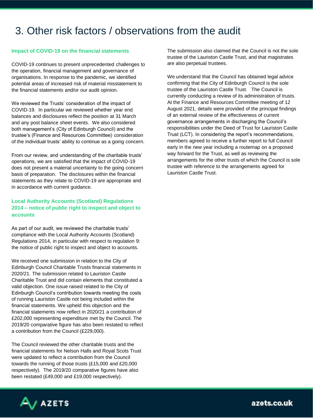### 3. Other risk factors / observations from the audit

#### **Impact of COVID-19 on the financial statements**

COVID-19 continues to present unprecedented challenges to the operation, financial management and governance of organisations. In response to the pandemic, we identified potential areas of increased risk of material misstatement to the financial statements and/or our audit opinion.

We reviewed the Trusts' consideration of the impact of COVID-19. In particular we reviewed whether year end balances and disclosures reflect the position at 31 March and any post balance sheet events. We also considered both management's (City of Edinburgh Council) and the trustee's (Finance and Resources Committee) consideration of the individual trusts' ability to continue as a going concern.

From our review, and understanding of the charitable trusts' operations, we are satisfied that the impact of COVID-19 does not present a material uncertainty to the going concern basis of preparation. The disclosures within the financial statements as they relate to COVID-19 are appropriate and in accordance with current guidance.

#### **Local Authority Accounts (Scotland) Regulations 2014 – notice of public right to inspect and object to accounts**

As part of our audit, we reviewed the charitable trusts' compliance with the Local Authority Accounts (Scotland) Regulations 2014, in particular with respect to regulation 9: the notice of public right to inspect and object to accounts.

We received one submission in relation to the City of Edinburgh Council Charitable Trusts financial statements in 2020/21. The submission related to Lauriston Castle Charitable Trust and did contain elements that constituted a valid objection. One issue raised related to the City of Edinburgh Council's contribution towards meeting the costs of running Lauriston Castle not being included within the financial statements. We upheld this objection and the financial statements now reflect in 2020/21 a contribution of £202,000 representing expenditure met by the Council. The 2019/20 comparative figure has also been restated to reflect a contribution from the Council (£229,000).

The Council reviewed the other charitable trusts and the financial statements for Nelson Halls and Royal Scots Trust were updated to reflect a contribution from the Council towards the running of those trusts (£15,000 and £20,000 respectively). The 2019/20 comparative figures have also been restated (£49,000 and £19,000 respectively).

The submission also claimed that the Council is not the sole trustee of the Lauriston Castle Trust, and that magistrates are also perpetual trustees.

We understand that the Council has obtained legal advice confirming that the City of Edinburgh Council is the sole trustee of the Lauriston Castle Trust. The Council is currently conducting a review of its administration of trusts. At the Finance and Resources Committee meeting of 12 August 2021, details were provided of the principal findings of an external review of the effectiveness of current governance arrangements in discharging the Council's responsibilities under the Deed of Trust for Lauriston Castle Trust (LCT). In considering the report's recommendations, members agreed to receive a further report to full Council early in the new year including a routemap on a proposed way forward for the Trust, as well as reviewing the arrangements for the other trusts of which the Council is sole trustee with reference to the arrangements agreed for Lauriston Castle Trust.

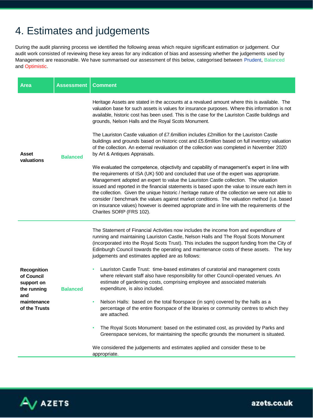### 4. Estimates and judgements

During the audit planning process we identified the following areas which require significant estimation or judgement. Our audit work consisted of reviewing these key areas for any indication of bias and assessing whether the judgements used by Management are reasonable. We have summarised our assessment of this below, categorised between Prudent, Balanced and Optimistic.

| <b>Area</b>                                                                                          | <b>Assessment</b> | Comment                                                                                                                                                                                                                                                                                                                                                                                                                                                                                                                                                                                                                                                                                                                                                                                                                                                                                                                                                                                                                                                                                                                                                                                                                                                                                                                                                                                                    |
|------------------------------------------------------------------------------------------------------|-------------------|------------------------------------------------------------------------------------------------------------------------------------------------------------------------------------------------------------------------------------------------------------------------------------------------------------------------------------------------------------------------------------------------------------------------------------------------------------------------------------------------------------------------------------------------------------------------------------------------------------------------------------------------------------------------------------------------------------------------------------------------------------------------------------------------------------------------------------------------------------------------------------------------------------------------------------------------------------------------------------------------------------------------------------------------------------------------------------------------------------------------------------------------------------------------------------------------------------------------------------------------------------------------------------------------------------------------------------------------------------------------------------------------------------|
| Asset<br>valuations                                                                                  | <b>Balanced</b>   | Heritage Assets are stated in the accounts at a revalued amount where this is available. The<br>valuation base for such assets is values for insurance purposes. Where this information is not<br>available, historic cost has been used. This is the case for the Lauriston Castle buildings and<br>grounds, Nelson Halls and the Royal Scots Monument.<br>The Lauriston Castle valuation of £7.6million includes £2million for the Lauriston Castle<br>buildings and grounds based on historic cost and £5.6 million based on full inventory valuation<br>of the collection. An external revaluation of the collection was completed in November 2020<br>by Art & Antiques Appraisals.<br>We evaluated the competence, objectivity and capability of management's expert in line with<br>the requirements of ISA (UK) 500 and concluded that use of the expert was appropriate.<br>Management adopted an expert to value the Lauriston Castle collection. The valuation<br>issued and reported in the financial statements is based upon the value to insure each item in<br>the collection. Given the unique historic / heritage nature of the collection we were not able to<br>consider / benchmark the values against market conditions. The valuation method (i.e. based<br>on insurance values) however is deemed appropriate and in line with the requirements of the<br>Charites SORP (FRS 102). |
| <b>Recognition</b><br>of Council<br>support on<br>the running<br>and<br>maintenance<br>of the Trusts | <b>Balanced</b>   | The Statement of Financial Activities now includes the income from and expenditure of<br>running and maintaining Lauriston Castle, Nelson Halls and The Royal Scots Monument<br>(incorporated into the Royal Scots Trust). This includes the support funding from the City of<br>Edinburgh Council towards the operating and maintenance costs of these assets. The key<br>judgements and estimates applied are as follows:<br>Lauriston Castle Trust: time-based estimates of curatorial and management costs<br>where relevant staff also have responsibility for other Council-operated venues. An<br>estimate of gardening costs, comprising employee and associated materials<br>expenditure, is also included.<br>Nelson Halls: based on the total floorspace (in sqm) covered by the halls as a<br>percentage of the entire floorspace of the libraries or community centres to which they<br>are attached.<br>The Royal Scots Monument: based on the estimated cost, as provided by Parks and<br>$\bullet$<br>Greenspace services, for maintaining the specific grounds the monument is situated.<br>We considered the judgements and estimates applied and consider these to be<br>appropriate.                                                                                                                                                                                                   |

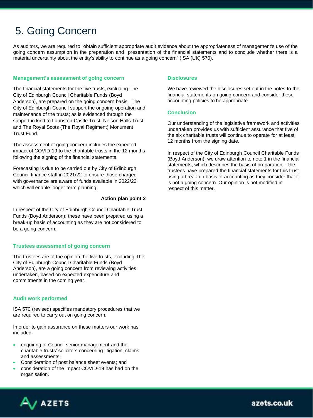### 5. Going Concern

As auditors, we are required to "obtain sufficient appropriate audit evidence about the appropriateness of management's use of the going concern assumption in the preparation and presentation of the financial statements and to conclude whether there is a material uncertainty about the entity's ability to continue as a going concern" (ISA (UK) 570).

#### **Management's assessment of going concern**

The financial statements for the five trusts, excluding The City of Edinburgh Council Charitable Funds (Boyd Anderson), are prepared on the going concern basis. The City of Edinburgh Council support the ongoing operation and maintenance of the trusts; as is evidenced through the support in kind to Lauriston Castle Trust, Nelson Halls Trust and The Royal Scots (The Royal Regiment) Monument Trust Fund.

The assessment of going concern includes the expected impact of COVID-19 to the charitable trusts in the 12 months following the signing of the financial statements.

Forecasting is due to be carried out by City of Edinburgh Council finance staff in 2021/22 to ensure those charged with governance are aware of funds available in 2022/23 which will enable longer term planning.

#### **Action plan point 2**

In respect of the City of Edinburgh Council Charitable Trust Funds (Boyd Anderson); these have been prepared using a break-up basis of accounting as they are not considered to be a going concern.

#### **Trustees assessment of going concern**

The trustees are of the opinion the five trusts, excluding The City of Edinburgh Council Charitable Funds (Boyd Anderson), are a going concern from reviewing activities undertaken, based on expected expenditure and commitments in the coming year.

#### **Audit work performed**

ISA 570 (revised) specifies mandatory procedures that we are required to carry out on going concern.

In order to gain assurance on these matters our work has included:

- enquiring of Council senior management and the charitable trusts' solicitors concerning litigation, claims and assessments;
- Consideration of post balance sheet events; and
- consideration of the impact COVID-19 has had on the organisation.

#### **Disclosures**

We have reviewed the disclosures set out in the notes to the financial statements on going concern and consider these accounting policies to be appropriate.

#### **Conclusion**

Our understanding of the legislative framework and activities undertaken provides us with sufficient assurance that five of the six charitable trusts will continue to operate for at least 12 months from the signing date.

In respect of the City of Edinburgh Council Charitable Funds (Boyd Anderson), we draw attention to note 1 in the financial statements, which describes the basis of preparation. The trustees have prepared the financial statements for this trust using a break-up basis of accounting as they consider that it is not a going concern. Our opinion is not modified in respect of this matter.

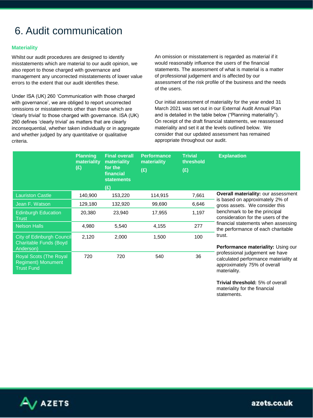### 6. Audit communication

#### **Materiality**

Whilst our audit procedures are designed to identify misstatements which are material to our audit opinion, we also report to those charged with governance and management any uncorrected misstatements of lower value errors to the extent that our audit identifies these.

Under ISA (UK) 260 'Communication with those charged with governance', we are obliged to report uncorrected omissions or misstatements other than those which are 'clearly trivial' to those charged with governance. ISA (UK) 260 defines 'clearly trivial' as matters that are clearly inconsequential, whether taken individually or in aggregate and whether judged by any quantitative or qualitative criteria.

An omission or misstatement is regarded as material if it would reasonably influence the users of the financial statements. The assessment of what is material is a matter of professional judgement and is affected by our assessment of the risk profile of the business and the needs of the users.

Our initial assessment of materiality for the year ended 31 March 2021 was set out in our External Audit Annual Plan and is detailed in the table below ("Planning materiality"). On receipt of the draft financial statements, we reassessed materiality and set it at the levels outlined below. We consider that our updated assessment has remained appropriate throughout our audit.

|                                                                          | <b>Planning</b><br>materiality<br>(E) | <b>Final overall</b><br>materiality<br>for the<br>financial<br><b>statements</b><br>(£) | <b>Performance</b><br>materiality<br>(E) | <b>Trivial</b><br>threshold<br>(E) | <b>Explanation</b>                                                                                                      |
|--------------------------------------------------------------------------|---------------------------------------|-----------------------------------------------------------------------------------------|------------------------------------------|------------------------------------|-------------------------------------------------------------------------------------------------------------------------|
| <b>Lauriston Castle</b>                                                  | 140,900                               | 153,220                                                                                 | 114,915                                  | 7,661                              | <b>Overall materiality: our assessment</b>                                                                              |
| Jean F. Watson                                                           | 129,180                               | 132,920                                                                                 | 99,690                                   | 6,646                              | is based on approximately 2% of<br>gross assets. We consider this                                                       |
| <b>Edinburgh Education</b><br><b>Trust</b>                               | 20,380                                |                                                                                         | 17,955                                   | 1,197                              | benchmark to be the principal<br>consideration for the users of the                                                     |
| <b>Nelson Halls</b>                                                      | 4,980                                 | 5,540                                                                                   | 4,155                                    | 277                                | financial statements when assessing<br>the performance of each charitable                                               |
| <b>City of Edinburgh Council</b><br>Charitable Funds (Boyd<br>Anderson)  | 2,120                                 | 2,000                                                                                   | 1,500                                    | 100                                | trust.<br><b>Performance materiality: Using our</b>                                                                     |
| Royal Scots (The Royal<br><b>Regiment) Monument</b><br><b>Trust Fund</b> | 720                                   | 720                                                                                     | 540                                      | 36                                 | professional judgement we have<br>calculated performance materiality at<br>approximately 75% of overall<br>materiality. |

**Trivial threshold:** 5% of overall materiality for the financial statements.

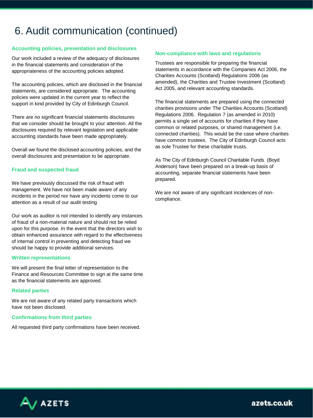### 6. Audit communication (continued)

#### **Accounting policies, presentation and disclosures**

Our work included a review of the adequacy of disclosures in the financial statements and consideration of the appropriateness of the accounting policies adopted.

The accounting policies, which are disclosed in the financial statements, are considered appropriate. The accounting policies were updated in the current year to reflect the support in kind provided by City of Edinburgh Council.

There are no significant financial statements disclosures that we consider should be brought to your attention. All the disclosures required by relevant legislation and applicable accounting standards have been made appropriately.

Overall we found the disclosed accounting policies, and the overall disclosures and presentation to be appropriate.

#### **Fraud and suspected fraud**

We have previously discussed the risk of fraud with management. We have not been made aware of any incidents in the period nor have any incidents come to our attention as a result of our audit testing

Our work as auditor is not intended to identify any instances of fraud of a non-material nature and should not be relied upon for this purpose. In the event that the directors wish to obtain enhanced assurance with regard to the effectiveness of internal control in preventing and detecting fraud we should be happy to provide additional services.

#### **Written representations**

We will present the final letter of representation to the Finance and Resources Committee to sign at the same time as the financial statements are approved.

#### **Related parties**

We are not aware of any related party transactions which have not been disclosed.

#### **Confirmations from third parties**

All requested third party confirmations have been received.

#### **Non-compliance with laws and regulations**

Trustees are responsible for preparing the financial statements in accordance with the Companies Act 2006, the Charities Accounts (Scotland) Regulations 2006 (as amended), the Charities and Trustee Investment (Scotland) Act 2005, and relevant accounting standards.

The financial statements are prepared using the connected charities provisions under The Charities Accounts (Scotland) Regulations 2006. Regulation 7 (as amended in 2010) permits a single set of accounts for charities if they have common or related purposes, or shared management (i.e. connected charities). This would be the case where charities have common trustees. The City of Edinburgh Council acts as sole Trustee for these charitable trusts.

As The City of Edinburgh Council Charitable Funds (Boyd Anderson) have been prepared on a break-up basis of accounting, separate financial statements have been prepared.

We are not aware of any significant incidences of noncompliance.

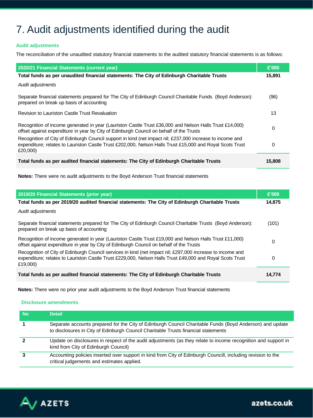### 7. Audit adjustments identified during the audit

#### **Audit adjustments**

The reconciliation of the unaudited statutory financial statements to the audited statutory financial statements is as follows:

| 2020/21 Financial Statements (current year)                                                                                                                                                                                        | £'000  |
|------------------------------------------------------------------------------------------------------------------------------------------------------------------------------------------------------------------------------------|--------|
| Total funds as per unaudited financial statements: The City of Edinburgh Charitable Trusts                                                                                                                                         | 15,891 |
| Audit adjustments                                                                                                                                                                                                                  |        |
| Separate financial statements prepared for The City of Edinburgh Council Charitable Funds (Boyd Anderson):<br>prepared on break up basis of accounting                                                                             | (96)   |
| Revision to Lauriston Castle Trust Revaluation                                                                                                                                                                                     | 13     |
| Recognition of income generated in year (Lauriston Castle Trust £36,000 and Nelson Halls Trust £14,000)<br>offset against expenditure in year by City of Edinburgh Council on behalf of the Trusts                                 | 0      |
| Recognition of City of Edinburgh Council support in kind (net impact nil; £237,000 increase to income and<br>expenditure; relates to Lauriston Castle Trust £202,000, Nelson Halls Trust £15,000 and Royal Scots Trust<br>£20,000) | 0      |
| Total funds as per audited financial statements: The City of Edinburgh Charitable Trusts                                                                                                                                           | 15,808 |

**Notes:** There were no audit adjustments to the Boyd Anderson Trust financial statements

| 2019/20 Financial Statements (prior year)                                                                                                                                                                                           | £'000  |
|-------------------------------------------------------------------------------------------------------------------------------------------------------------------------------------------------------------------------------------|--------|
| Total funds as per 2019/20 audited financial statements: The City of Edinburgh Charitable Trusts                                                                                                                                    | 14,875 |
| Audit adjustments                                                                                                                                                                                                                   |        |
| Separate financial statements prepared for The City of Edinburgh Council Charitable Trusts (Boyd Anderson):<br>prepared on break up basis of accounting                                                                             | (101)  |
| Recognition of income generated in year (Lauriston Castle Trust £19,000 and Nelson Halls Trust £11,000)<br>offset against expenditure in year by City of Edinburgh Council on behalf of the Trusts                                  | 0      |
| Recognition of City of Edinburgh Council services in kind (net impact nil; £297,000 increase to income and<br>expenditure; relates to Lauriston Castle Trust £229,000, Nelson Halls Trust £49,000 and Royal Scots Trust<br>£19,000) | 0      |
| Total funds as per audited financial statements: The City of Edinburgh Charitable Trusts                                                                                                                                            | 14,774 |

**Notes:** There were no prior year audit adjustments to the Boyd Anderson Trust financial statements

#### **Disclosure amendments**

| <b>No</b> | <b>Detail</b>                                                                                                                                                                                  |
|-----------|------------------------------------------------------------------------------------------------------------------------------------------------------------------------------------------------|
|           | Separate accounts prepared for the City of Edinburgh Council Charitable Funds (Boyd Anderson) and update<br>to disclosures in City of Edinburgh Council Charitable Trusts financial statements |
|           | Update on disclosures in respect of the audit adjustments (as they relate to income recognition and support in<br>kind from City of Edinburgh Council)                                         |
|           | Accounting policies inserted over support in kind from City of Edinburgh Councill, including revision to the<br>critical judgements and estimates applied.                                     |

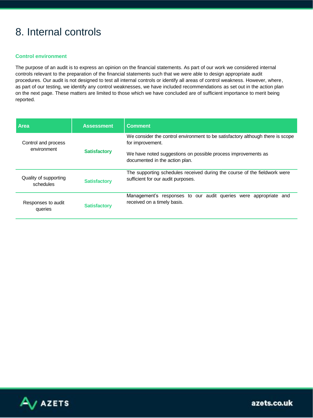### 8. Internal controls

#### **Control environment**

The purpose of an audit is to express an opinion on the financial statements. As part of our work we considered internal controls relevant to the preparation of the financial statements such that we were able to design appropriate audit procedures. Our audit is not designed to test all internal controls or identify all areas of control weakness. However, where, as part of our testing, we identify any control weaknesses, we have included recommendations as set out in the action plan on the next page. These matters are limited to those which we have concluded are of sufficient importance to merit being reported.

| <b>Area</b>                        | <b>Assessment</b>   | <b>Comment</b>                                                                                                  |  |  |
|------------------------------------|---------------------|-----------------------------------------------------------------------------------------------------------------|--|--|
| Control and process                |                     | We consider the control environment to be satisfactory although there is scope<br>for improvement.              |  |  |
| environment                        | <b>Satisfactory</b> | We have noted suggestions on possible process improvements as<br>documented in the action plan.                 |  |  |
| Quality of supporting<br>schedules | <b>Satisfactory</b> | The supporting schedules received during the course of the fieldwork were<br>sufficient for our audit purposes. |  |  |
| Responses to audit<br>queries      | <b>Satisfactory</b> | Management's responses to our audit queries were appropriate<br>and<br>received on a timely basis.              |  |  |

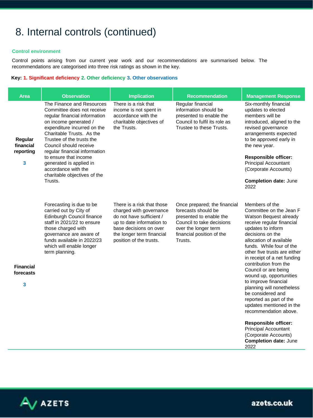### 8. Internal controls (continued)

#### **Control environment**

Control points arising from our current year work and our recommendations are summarised below. The recommendations are categorised into three risk ratings as shown in the key.

#### **Key: 1. Significant deficiency 2. Other deficiency 3. Other observations**

| <b>Area</b>                            | <b>Observation</b>                                                                                                                                                                                                                                                                                                                                                                          | <b>Implication</b>                                                                                                                                                                               | <b>Recommendation</b>                                                                                                                                                       | <b>Management Response</b>                                                                                                                                                                                                                                                                                                                                                                                                                                                                                                                                                                                                          |
|----------------------------------------|---------------------------------------------------------------------------------------------------------------------------------------------------------------------------------------------------------------------------------------------------------------------------------------------------------------------------------------------------------------------------------------------|--------------------------------------------------------------------------------------------------------------------------------------------------------------------------------------------------|-----------------------------------------------------------------------------------------------------------------------------------------------------------------------------|-------------------------------------------------------------------------------------------------------------------------------------------------------------------------------------------------------------------------------------------------------------------------------------------------------------------------------------------------------------------------------------------------------------------------------------------------------------------------------------------------------------------------------------------------------------------------------------------------------------------------------------|
| Regular<br>financial<br>reporting<br>3 | The Finance and Resources<br>Committee does not receive<br>regular financial information<br>on income generated /<br>expenditure incurred on the<br>Charitable Trusts. As the<br>Trustee of the trusts the<br>Council should receive<br>regular financial information<br>to ensure that income<br>generated is applied in<br>accordance with the<br>charitable objectives of the<br>Trusts. | There is a risk that<br>income is not spent in<br>accordance with the<br>charitable objectives of<br>the Trusts.                                                                                 | Regular financial<br>information should be<br>presented to enable the<br>Council to fulfil its role as<br>Trustee to these Trusts.                                          | Six-monthly financial<br>updates to elected<br>members will be<br>introduced, aligned to the<br>revised governance<br>arrangements expected<br>to be approved early in<br>the new year.<br><b>Responsible officer:</b><br>Principal Accountant<br>(Corporate Accounts)<br><b>Completion date: June</b><br>2022                                                                                                                                                                                                                                                                                                                      |
| <b>Financial</b><br>forecasts<br>3     | Forecasting is due to be<br>carried out by City of<br>Edinburgh Council finance<br>staff in 2021/22 to ensure<br>those charged with<br>governance are aware of<br>funds available in 2022/23<br>which will enable longer<br>term planning.                                                                                                                                                  | There is a risk that those<br>charged with governance<br>do not have sufficient /<br>up to date information to<br>base decisions on over<br>the longer term financial<br>position of the trusts. | Once prepared; the financial<br>forecasts should be<br>presented to enable the<br>Council to take decisions<br>over the longer term<br>financial position of the<br>Trusts. | Members of the<br>Committee on the Jean F<br>Watson Bequest already<br>receive regular financial<br>updates to inform<br>decisions on the<br>allocation of available<br>funds. While four of the<br>other five trusts are either<br>in receipt of a net funding<br>contribution from the<br>Council or are being<br>wound up, opportunities<br>to improve financial<br>planning will nonetheless<br>be considered and<br>reported as part of the<br>updates mentioned in the<br>recommendation above.<br><b>Responsible officer:</b><br><b>Principal Accountant</b><br>(Corporate Accounts)<br><b>Completion date: June</b><br>2022 |

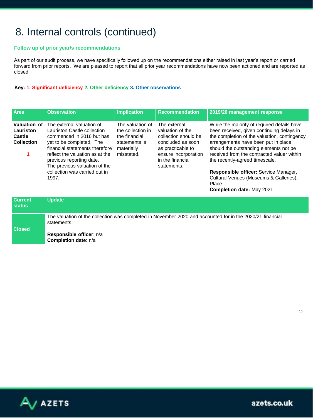### 8. Internal controls (continued)

#### **Follow up of prior year/s recommendations**

As part of our audit process, we have specifically followed up on the recommendations either raised in last year's report or carried forward from prior reports. We are pleased to report that all prior year recommendations have now been actioned and are reported as closed.

#### **Key: 1. Significant deficiency 2. Other deficiency 3. Other observations**

| Area                                                     | <b>Observation</b>                                                                                                                                                                                                                                  | <b>Implication</b>                                                                                  | <b>Recommendation</b>                                                                                                                                         | 2019/20 management response                                                                                                                                                                                                                                                                               |
|----------------------------------------------------------|-----------------------------------------------------------------------------------------------------------------------------------------------------------------------------------------------------------------------------------------------------|-----------------------------------------------------------------------------------------------------|---------------------------------------------------------------------------------------------------------------------------------------------------------------|-----------------------------------------------------------------------------------------------------------------------------------------------------------------------------------------------------------------------------------------------------------------------------------------------------------|
| Valuation of<br>Lauriston<br>Castle<br><b>Collection</b> | The external valuation of<br>Lauriston Castle collection<br>commenced in 2016 but has<br>yet to be completed. The<br>financial statements therefore<br>reflect the valuation as at the<br>previous reporting date.<br>The previous valuation of the | The valuation of<br>the collection in<br>the financial<br>statements is<br>materially<br>misstated. | The external<br>valuation of the<br>collection should be<br>concluded as soon<br>as practicable to<br>ensure incorporation<br>in the financial<br>statements. | While the majority of required details have<br>been received, given continuing delays in<br>the completion of the valuation, contingency<br>arrangements have been put in place<br>should the outstanding elements not be<br>received from the contracted valuer within<br>the recently-agreed timescale. |
|                                                          | collection was carried out in<br>1997.                                                                                                                                                                                                              |                                                                                                     |                                                                                                                                                               | Responsible officer: Service Manager,<br>Cultural Venues (Museums & Galleries),<br>Place<br>Completion date: May 2021                                                                                                                                                                                     |

| <b>Current</b><br>status | <b>Update</b>                                                                                                            |
|--------------------------|--------------------------------------------------------------------------------------------------------------------------|
| <b>Closed</b>            | The valuation of the collection was completed in November 2020 and accounted for in the 2020/21 financial<br>statements. |
|                          | Responsible officer: n/a<br><b>Completion date: n/a</b>                                                                  |



16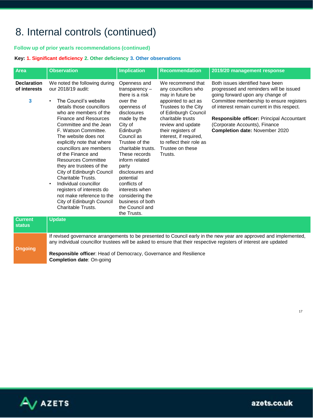### 8. Internal controls (continued)

#### **Follow up of prior year/s recommendations (continued)**

#### **Key: 1. Significant deficiency 2. Other deficiency 3. Other observations**

| Area                                    | <b>Observation</b>                                                                                                                                                                                                                                                                                                                                                                                                                                                                                                                                                                                        | <b>Implication</b>                                                                                                                                                                                                                                                                                                                                                 | <b>Recommendation</b>                                                                                                                                                                                                                                                                    | 2019/20 management response                                                                                                                                                                                                                                                                                                       |  |  |
|-----------------------------------------|-----------------------------------------------------------------------------------------------------------------------------------------------------------------------------------------------------------------------------------------------------------------------------------------------------------------------------------------------------------------------------------------------------------------------------------------------------------------------------------------------------------------------------------------------------------------------------------------------------------|--------------------------------------------------------------------------------------------------------------------------------------------------------------------------------------------------------------------------------------------------------------------------------------------------------------------------------------------------------------------|------------------------------------------------------------------------------------------------------------------------------------------------------------------------------------------------------------------------------------------------------------------------------------------|-----------------------------------------------------------------------------------------------------------------------------------------------------------------------------------------------------------------------------------------------------------------------------------------------------------------------------------|--|--|
| <b>Declaration</b><br>of interests<br>3 | We noted the following during<br>our 2018/19 audit:<br>The Council's website<br>$\bullet$<br>details those councillors<br>who are members of the<br><b>Finance and Resources</b><br>Committee and the Jean<br>F. Watson Committee.<br>The website does not<br>explicitly note that where<br>councillors are members<br>of the Finance and<br><b>Resources Committee</b><br>they are trustees of the<br>City of Edinburgh Council<br>Charitable Trusts.<br>Individual councillor<br>$\bullet$<br>registers of interests do<br>not make reference to the<br>City of Edinburgh Council<br>Charitable Trusts. | Openness and<br>$transparency -$<br>there is a risk<br>over the<br>openness of<br>disclosures<br>made by the<br>City of<br>Edinburgh<br>Council as<br>Trustee of the<br>charitable trusts.<br>These records<br>inform related<br>party<br>disclosures and<br>potential<br>conflicts of<br>interests when<br>considering the<br>business of both<br>the Council and | We recommend that<br>any councillors who<br>may in future be<br>appointed to act as<br>Trustees to the City<br>of Edinburgh Council<br>charitable trusts<br>review and update<br>their registers of<br>interest, if required,<br>to reflect their role as<br>Trustee on these<br>Trusts. | Both issues identified have been<br>progressed and reminders will be issued<br>going forward upon any change of<br>Committee membership to ensure registers<br>of interest remain current in this respect.<br>Responsible officer: Principal Accountant<br>(Corporate Accounts), Finance<br><b>Completion date: November 2020</b> |  |  |
| <b>Current</b>                          | <b>Update</b>                                                                                                                                                                                                                                                                                                                                                                                                                                                                                                                                                                                             | the Trusts.                                                                                                                                                                                                                                                                                                                                                        |                                                                                                                                                                                                                                                                                          |                                                                                                                                                                                                                                                                                                                                   |  |  |
| <b>status</b>                           |                                                                                                                                                                                                                                                                                                                                                                                                                                                                                                                                                                                                           |                                                                                                                                                                                                                                                                                                                                                                    |                                                                                                                                                                                                                                                                                          |                                                                                                                                                                                                                                                                                                                                   |  |  |
|                                         | If revised governance arrangements to be presented to Council early in the new year are approved and implemented,<br>any individual councillor trustees will be asked to ensure that their respective registers of interest are updated                                                                                                                                                                                                                                                                                                                                                                   |                                                                                                                                                                                                                                                                                                                                                                    |                                                                                                                                                                                                                                                                                          |                                                                                                                                                                                                                                                                                                                                   |  |  |

**Ongoing Responsible officer**: Head of Democracy, Governance and Resilience **Completion date**: On-going



17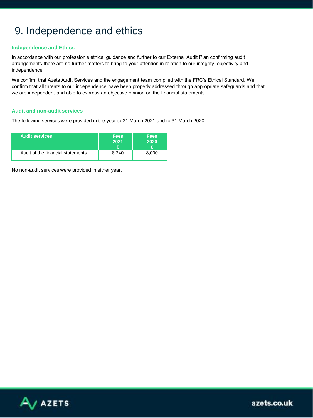### 9. Independence and ethics

#### **Independence and Ethics**

In accordance with our profession's ethical guidance and further to our External Audit Plan confirming audit arrangements there are no further matters to bring to your attention in relation to our integrity, objectivity and independence.

We confirm that Azets Audit Services and the engagement team complied with the FRC's Ethical Standard. We confirm that all threats to our independence have been properly addressed through appropriate safeguards and that we are independent and able to express an objective opinion on the financial statements.

#### **Audit and non-audit services**

The following services were provided in the year to 31 March 2021 and to 31 March 2020.

| <b>Audit services</b>             | <b>Fees</b><br>2021 | <b>Fees</b><br>2020 |
|-----------------------------------|---------------------|---------------------|
| Audit of the financial statements | 8.240               | 8.000               |

No non-audit services were provided in either year.